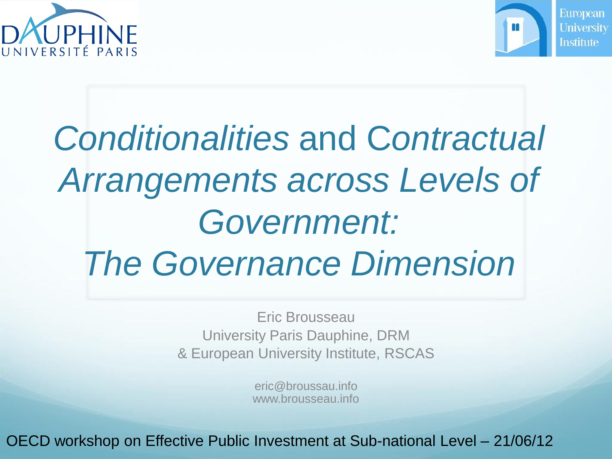



### *Conditionalities* and C*ontractual Arrangements across Levels of Government: The Governance Dimension*

Eric Brousseau University Paris Dauphine, DRM & European University Institute, RSCAS

> eric@broussau.info www.brousseau.info

OECD workshop on Effective Public Investment at Sub-national Level – 21/06/12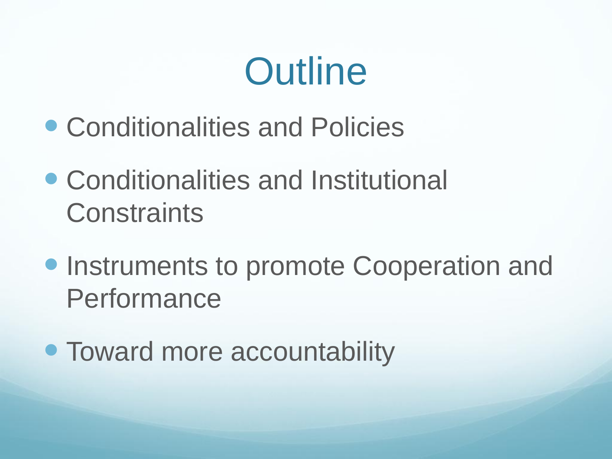## **Outline**

- Conditionalities and Policies
- Conditionalities and Institutional **Constraints**
- **Instruments to promote Cooperation and** Performance
- Toward more accountability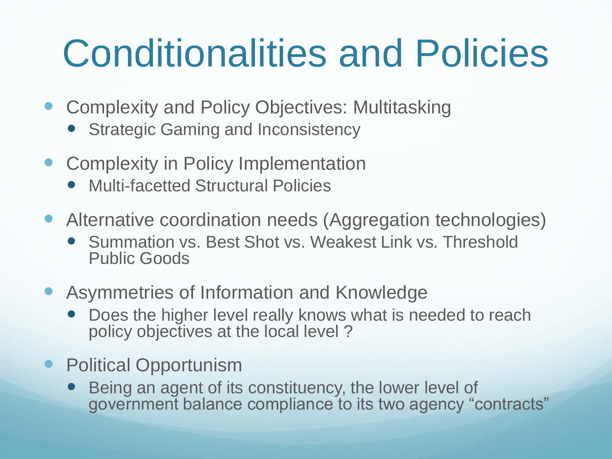## Conditionalities and Policies

- Complexity and Policy Objectives: Multitasking
	- Strategic Gaming and Inconsistency
- Complexity in Policy Implementation
	- Multi-facetted Structural Policies
- Alternative coordination needs (Aggregation technologies)
	- Summation vs. Best Shot vs. Weakest Link vs. Threshold Public Goods
- Asymmetries of Information and Knowledge
	- Does the higher level really knows what is needed to reach policy objectives at the local level ?
- **Political Opportunism** 
	- Being an agent of its constituency, the lower level of government balance compliance to its two agency "contracts"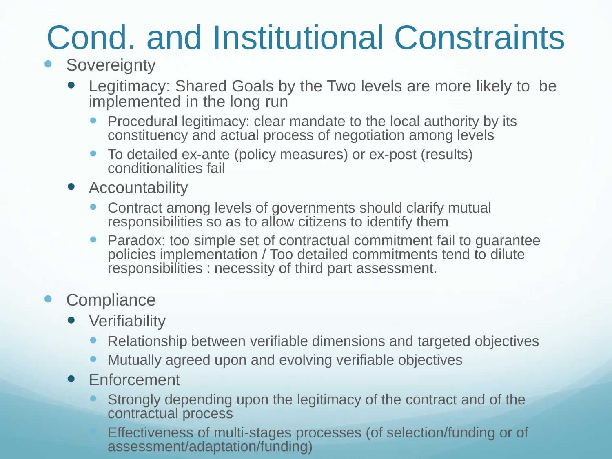### Cond. and Institutional Constraints

#### **Sovereignty**

- Legitimacy: Shared Goals by the Two levels are more likely to be implemented in the long run
	- Procedural legitimacy: clear mandate to the local authority by its constituency and actual process of negotiation among levels
	- To detailed ex-ante (policy measures) or ex-post (results) conditionalities fail
- Accountability
	- Contract among levels of governments should clarify mutual responsibilities so as to allow citizens to identify them
	- Paradox: too simple set of contractual commitment fail to guarantee policies implementation / Too detailed commitments tend to dilute responsibilities : necessity of third part assessment.

#### • Compliance

- **•** Verifiability
	- Relationship between verifiable dimensions and targeted objectives
	- Mutually agreed upon and evolving verifiable objectives
- **•** Enforcement
	- Strongly depending upon the legitimacy of the contract and of the contractual process

 Effectiveness of multi-stages processes (of selection/funding or of assessment/adaptation/funding)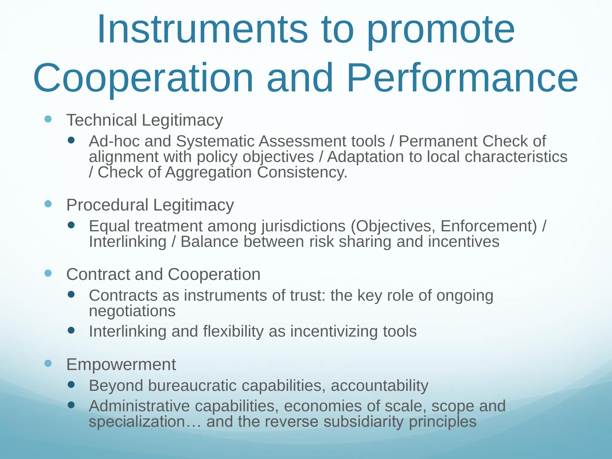# Instruments to promote Cooperation and Performance

- Technical Legitimacy
	- Ad-hoc and Systematic Assessment tools / Permanent Check of alignment with policy objectives / Adaptation to local characteristics / Check of Aggregation Consistency.
- Procedural Legitimacy
	- Equal treatment among jurisdictions (Objectives, Enforcement) / Interlinking / Balance between risk sharing and incentives
- Contract and Cooperation
	- Contracts as instruments of trust: the key role of ongoing negotiations
	- Interlinking and flexibility as incentivizing tools
- Empowerment
	- Beyond bureaucratic capabilities, accountability
	- Administrative capabilities, economies of scale, scope and specialization… and the reverse subsidiarity principles